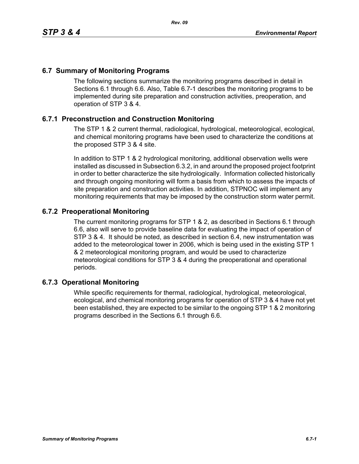## **6.7 Summary of Monitoring Programs**

The following sections summarize the monitoring programs described in detail in Sections 6.1 through 6.6. Also, Table 6.7-1 describes the monitoring programs to be implemented during site preparation and construction activities, preoperation, and operation of STP 3 & 4.

## **6.7.1 Preconstruction and Construction Monitoring**

The STP 1 & 2 current thermal, radiological, hydrological, meteorological, ecological, and chemical monitoring programs have been used to characterize the conditions at the proposed STP 3 & 4 site.

In addition to STP 1 & 2 hydrological monitoring, additional observation wells were installed as discussed in Subsection 6.3.2, in and around the proposed project footprint in order to better characterize the site hydrologically. Information collected historically and through ongoing monitoring will form a basis from which to assess the impacts of site preparation and construction activities. In addition, STPNOC will implement any monitoring requirements that may be imposed by the construction storm water permit.

## **6.7.2 Preoperational Monitoring**

The current monitoring programs for STP 1 & 2, as described in Sections 6.1 through 6.6, also will serve to provide baseline data for evaluating the impact of operation of STP 3 & 4. It should be noted, as described in section 6.4, new instrumentation was added to the meteorological tower in 2006, which is being used in the existing STP 1 & 2 meteorological monitoring program, and would be used to characterize meteorological conditions for STP 3 & 4 during the preoperational and operational periods.

## **6.7.3 Operational Monitoring**

While specific requirements for thermal, radiological, hydrological, meteorological, ecological, and chemical monitoring programs for operation of STP 3 & 4 have not yet been established, they are expected to be similar to the ongoing STP 1 & 2 monitoring programs described in the Sections 6.1 through 6.6.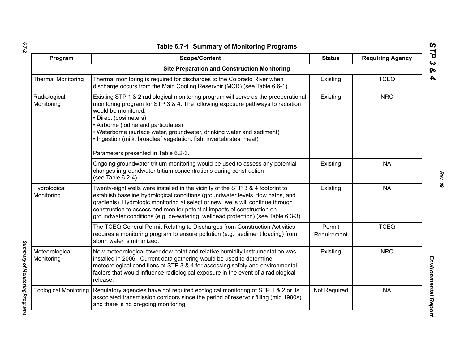| ۰.     |  |
|--------|--|
|        |  |
| $\sim$ |  |

*Summary of Monitoring Programs* 

Summary of Monitoring Programs

| Program                      | <b>Scope/Content</b>                                                                                                                                                                                                                                                                                                                                                                                                                                   | <b>Status</b>         | <b>Requiring Agency</b> |
|------------------------------|--------------------------------------------------------------------------------------------------------------------------------------------------------------------------------------------------------------------------------------------------------------------------------------------------------------------------------------------------------------------------------------------------------------------------------------------------------|-----------------------|-------------------------|
|                              | <b>Site Preparation and Construction Monitoring</b>                                                                                                                                                                                                                                                                                                                                                                                                    |                       |                         |
| <b>Thermal Monitoring</b>    | Thermal monitoring is required for discharges to the Colorado River when<br>discharge occurs from the Main Cooling Reservoir (MCR) (see Table 6.6-1)                                                                                                                                                                                                                                                                                                   | Existing              | <b>TCEQ</b>             |
| Radiological<br>Monitoring   | Existing STP 1 & 2 radiological monitoring program will serve as the preoperational<br>monitoring program for STP 3 & 4. The following exposure pathways to radiation<br>would be monitored.<br>• Direct (dosimeters)<br>• Airborne (iodine and particulates)<br>• Waterborne (surface water, groundwater, drinking water and sediment)<br>. Ingestion (milk, broadleaf vegetation, fish, invertebrates, meat)<br>Parameters presented in Table 6.2-3. | Existing              | <b>NRC</b>              |
|                              | Ongoing groundwater tritium monitoring would be used to assess any potential<br>changes in groundwater tritium concentrations during construction<br>(see Table 6.2-4)                                                                                                                                                                                                                                                                                 | Existing              | <b>NA</b>               |
| Hydrological<br>Monitoring   | Twenty-eight wells were installed in the vicinity of the STP 3 & 4 footprint to<br>establish baseline hydrological conditions (groundwater levels, flow paths, and<br>gradients). Hydrologic monitoring at select or new wells will continue through<br>construction to assess and monitor potential impacts of construction on<br>groundwater conditions (e.g. de-watering, wellhead protection) (see Table 6.3-3)                                    | Existing              | <b>NA</b>               |
|                              | The TCEQ General Permit Relating to Discharges from Construction Activities<br>requires a monitoring program to ensure pollution (e.g., sediment loading) from<br>storm water is minimized.                                                                                                                                                                                                                                                            | Permit<br>Requirement | <b>TCEQ</b>             |
| Meteorological<br>Monitoring | New meteorological tower dew point and relative humidity instrumentation was<br>installed in 2006. Current data gathering would be used to determine<br>meteorological conditions at STP 3 & 4 for assessing safety and environmental<br>factors that would influence radiological exposure in the event of a radiological<br>release.                                                                                                                 | Existing              | <b>NRC</b>              |
| <b>Ecological Monitoring</b> | Regulatory agencies have not required ecological monitoring of STP 1 & 2 or its<br>associated transmission corridors since the period of reservoir filling (mid 1980s)<br>and there is no on-going monitoring                                                                                                                                                                                                                                          | Not Required          | <b>NA</b>               |

*STP 3 & 4*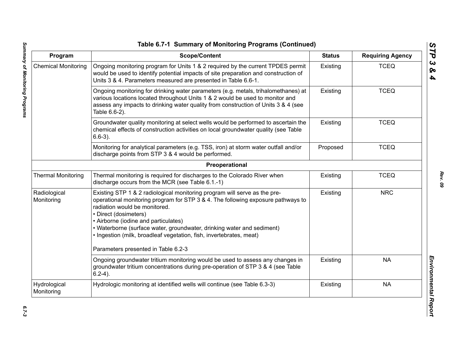| Program                    | <b>Scope/Content</b>                                                                                                                                                                                                                                                                                                                                                                                                                                    | <b>Status</b> | <b>Requiring Agency</b> |
|----------------------------|---------------------------------------------------------------------------------------------------------------------------------------------------------------------------------------------------------------------------------------------------------------------------------------------------------------------------------------------------------------------------------------------------------------------------------------------------------|---------------|-------------------------|
| <b>Chemical Monitoring</b> | Ongoing monitoring program for Units 1 & 2 required by the current TPDES permit<br>would be used to identify potential impacts of site preparation and construction of<br>Units 3 & 4. Parameters measured are presented in Table 6.6-1.                                                                                                                                                                                                                | Existing      | <b>TCEQ</b>             |
|                            | Ongoing monitoring for drinking water parameters (e.g. metals, trihalomethanes) at<br>various locations located throughout Units 1 & 2 would be used to monitor and<br>assess any impacts to drinking water quality from construction of Units 3 & 4 (see<br>Table 6.6-2).                                                                                                                                                                              | Existing      | <b>TCEQ</b>             |
|                            | Groundwater quality monitoring at select wells would be performed to ascertain the<br>chemical effects of construction activities on local groundwater quality (see Table<br>$6.6-3$ ).                                                                                                                                                                                                                                                                 | Existing      | <b>TCEQ</b>             |
|                            | Monitoring for analytical parameters (e.g. TSS, iron) at storm water outfall and/or<br>discharge points from STP 3 & 4 would be performed.                                                                                                                                                                                                                                                                                                              | Proposed      | <b>TCEQ</b>             |
|                            | Preoperational                                                                                                                                                                                                                                                                                                                                                                                                                                          |               |                         |
| <b>Thermal Monitoring</b>  | Thermal monitoring is required for discharges to the Colorado River when<br>discharge occurs from the MCR (see Table 6.1.-1)                                                                                                                                                                                                                                                                                                                            | Existing      | <b>TCEQ</b>             |
| Radiological<br>Monitoring | Existing STP 1 & 2 radiological monitoring program will serve as the pre-<br>operational monitoring program for STP 3 & 4. The following exposure pathways to<br>radiation would be monitored.<br>• Direct (dosimeters)<br>• Airborne (iodine and particulates)<br>• Waterborne (surface water, groundwater, drinking water and sediment)<br>. Ingestion (milk, broadleaf vegetation, fish, invertebrates, meat)<br>Parameters presented in Table 6.2-3 | Existing      | <b>NRC</b>              |
|                            | Ongoing groundwater tritium monitoring would be used to assess any changes in<br>groundwater tritium concentrations during pre-operation of STP 3 & 4 (see Table<br>$6.2-4$ ).                                                                                                                                                                                                                                                                          | Existing      | <b>NA</b>               |
| Hydrological<br>Monitoring | Hydrologic monitoring at identified wells will continue (see Table 6.3-3)                                                                                                                                                                                                                                                                                                                                                                               | Existing      | <b>NA</b>               |

*STP 3 & 4*

 $6.7 - 3$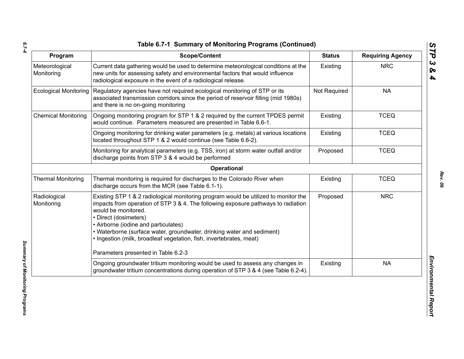*6.7-4*

| Program                      | <b>Scope/Content</b>                                                                                                                                                                                                                                                                                                                                                                                              | <b>Status</b> | <b>Requiring Agency</b> |
|------------------------------|-------------------------------------------------------------------------------------------------------------------------------------------------------------------------------------------------------------------------------------------------------------------------------------------------------------------------------------------------------------------------------------------------------------------|---------------|-------------------------|
| Meteorological<br>Monitoring | Current data gathering would be used to determine meteorological conditions at the<br>new units for assessing safety and environmental factors that would influence<br>radiological exposure in the event of a radiological release.                                                                                                                                                                              | Existing      | <b>NRC</b>              |
| <b>Ecological Monitoring</b> | Regulatory agencies have not required ecological monitoring of STP or its<br>associated transmission corridors since the period of reservoir filling (mid 1980s)<br>and there is no on-going monitoring                                                                                                                                                                                                           | Not Required  | <b>NA</b>               |
| <b>Chemical Monitoring</b>   | Ongoing monitoring program for STP 1 & 2 required by the current TPDES permit<br>would continue. Parameters measured are presented in Table 6.6-1.                                                                                                                                                                                                                                                                | Existing      | <b>TCEQ</b>             |
|                              | Ongoing monitoring for drinking water parameters (e.g. metals) at various locations<br>located throughout STP 1 & 2 would continue (see Table 6.6-2).                                                                                                                                                                                                                                                             | Existing      | <b>TCEQ</b>             |
|                              | Monitoring for analytical parameters (e.g. TSS, iron) at storm water outfall and/or<br>discharge points from STP 3 & 4 would be performed                                                                                                                                                                                                                                                                         | Proposed      | <b>TCEQ</b>             |
|                              | Operational                                                                                                                                                                                                                                                                                                                                                                                                       |               |                         |
| <b>Thermal Monitoring</b>    | Thermal monitoring is required for discharges to the Colorado River when<br>discharge occurs from the MCR (see Table 6.1-1).                                                                                                                                                                                                                                                                                      | Existing      | <b>TCEQ</b>             |
| Radiological<br>Monitoring   | Existing STP 1 & 2 radiological monitoring program would be utilized to monitor the<br>impacts from operation of STP 3 & 4. The following exposure pathways to radiation<br>would be monitored.<br>• Direct (dosimeters)<br>• Airborne (iodine and particulates)<br>• Waterborne (surface water, groundwater, drinking water and sediment)<br>· Ingestion (milk, broadleaf vegetation, fish, invertebrates, meat) | Proposed      | <b>NRC</b>              |
|                              | Parameters presented in Table 6.2-3                                                                                                                                                                                                                                                                                                                                                                               |               |                         |
|                              | Ongoing groundwater tritium monitoring would be used to assess any changes in<br>groundwater tritium concentrations during operation of STP 3 & 4 (see Table 6.2-4).                                                                                                                                                                                                                                              | Existing      | <b>NA</b>               |

*Summary of Monitoring Programs*